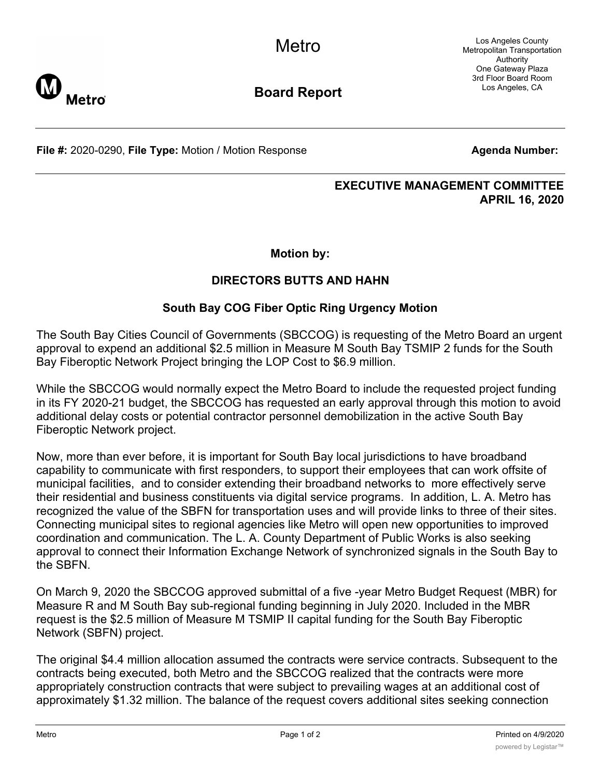Los Angeles County Metropolitan Transportation Authority One Gateway Plaza 3rd Floor Board Room Los Angeles, CA



**Board Report**

**File #:** 2020-0290, File Type: Motion / Motion Response **Agents** Agenda Number:

# **EXECUTIVE MANAGEMENT COMMITTEE**

**APRIL 16, 2020**

**Motion by:**

# **DIRECTORS BUTTS AND HAHN**

# **South Bay COG Fiber Optic Ring Urgency Motion**

The South Bay Cities Council of Governments (SBCCOG) is requesting of the Metro Board an urgent approval to expend an additional \$2.5 million in Measure M South Bay TSMIP 2 funds for the South Bay Fiberoptic Network Project bringing the LOP Cost to \$6.9 million.

While the SBCCOG would normally expect the Metro Board to include the requested project funding in its FY 2020-21 budget, the SBCCOG has requested an early approval through this motion to avoid additional delay costs or potential contractor personnel demobilization in the active South Bay Fiberoptic Network project.

Now, more than ever before, it is important for South Bay local jurisdictions to have broadband capability to communicate with first responders, to support their employees that can work offsite of municipal facilities, and to consider extending their broadband networks to more effectively serve their residential and business constituents via digital service programs. In addition, L. A. Metro has recognized the value of the SBFN for transportation uses and will provide links to three of their sites. Connecting municipal sites to regional agencies like Metro will open new opportunities to improved coordination and communication. The L. A. County Department of Public Works is also seeking approval to connect their Information Exchange Network of synchronized signals in the South Bay to the SBFN.

On March 9, 2020 the SBCCOG approved submittal of a five -year Metro Budget Request (MBR) for Measure R and M South Bay sub-regional funding beginning in July 2020. Included in the MBR request is the \$2.5 million of Measure M TSMIP II capital funding for the South Bay Fiberoptic Network (SBFN) project.

The original \$4.4 million allocation assumed the contracts were service contracts. Subsequent to the contracts being executed, both Metro and the SBCCOG realized that the contracts were more appropriately construction contracts that were subject to prevailing wages at an additional cost of approximately \$1.32 million. The balance of the request covers additional sites seeking connection